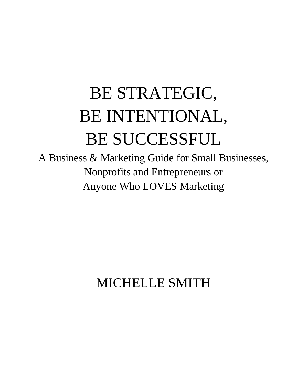## BE STRATEGIC, BE INTENTIONAL, BE SUCCESSFUL

A Business & Marketing Guide for Small Businesses, Nonprofits and Entrepreneurs or Anyone Who LOVES Marketing

MICHELLE SMITH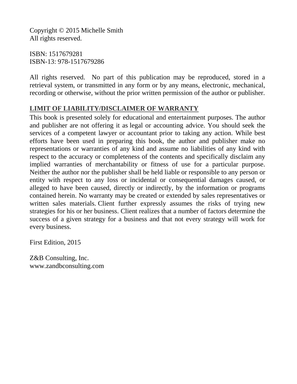Copyright © 2015 Michelle Smith All rights reserved.

ISBN: 1517679281 ISBN-13: 978-1517679286

All rights reserved. No part of this publication may be reproduced, stored in a retrieval system, or transmitted in any form or by any means, electronic, mechanical, recording or otherwise, without the prior written permission of the author or publisher.

## **LIMIT OF LIABILITY/DISCLAIMER OF WARRANTY**

This book is presented solely for educational and entertainment purposes. The author and publisher are not offering it as legal or accounting advice. You should seek the services of a competent lawyer or accountant prior to taking any action. While best efforts have been used in preparing this book, the author and publisher make no representations or warranties of any kind and assume no liabilities of any kind with respect to the accuracy or completeness of the contents and specifically disclaim any implied warranties of merchantability or fitness of use for a particular purpose. Neither the author nor the publisher shall be held liable or responsible to any person or entity with respect to any loss or incidental or consequential damages caused, or alleged to have been caused, directly or indirectly, by the information or programs contained herein. No warranty may be created or extended by sales representatives or written sales materials. Client further expressly assumes the risks of trying new strategies for his or her business. Client realizes that a number of factors determine the success of a given strategy for a business and that not every strategy will work for every business.

First Edition, 2015

Z&B Consulting, Inc. www.zandbconsulting.com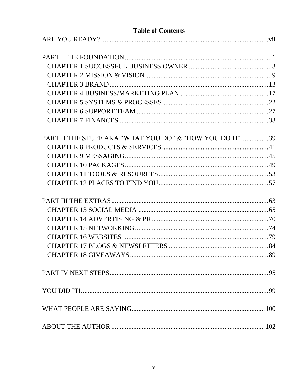## **Table of Contents**

| PART II THE STUFF AKA "WHAT YOU DO" & "HOW YOU DO IT" 39 |  |
|----------------------------------------------------------|--|
|                                                          |  |
|                                                          |  |
|                                                          |  |
|                                                          |  |
|                                                          |  |
|                                                          |  |
|                                                          |  |
|                                                          |  |
|                                                          |  |
|                                                          |  |
|                                                          |  |
|                                                          |  |
|                                                          |  |
|                                                          |  |
|                                                          |  |
|                                                          |  |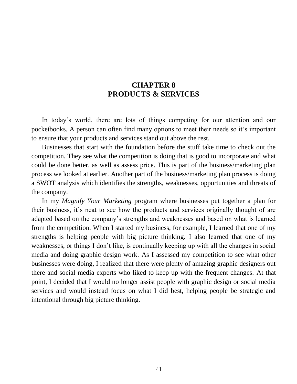## **CHAPTER 8 PRODUCTS & SERVICES**

<span id="page-3-0"></span>In today's world, there are lots of things competing for our attention and our pocketbooks. A person can often find many options to meet their needs so it's important to ensure that your products and services stand out above the rest.

Businesses that start with the foundation before the stuff take time to check out the competition. They see what the competition is doing that is good to incorporate and what could be done better, as well as assess price. This is part of the business/marketing plan process we looked at earlier. Another part of the business/marketing plan process is doing a SWOT analysis which identifies the strengths, weaknesses, opportunities and threats of the company.

In my *Magnify Your Marketing* program where businesses put together a plan for their business, it's neat to see how the products and services originally thought of are adapted based on the company's strengths and weaknesses and based on what is learned from the competition. When I started my business, for example, I learned that one of my strengths is helping people with big picture thinking. I also learned that one of my weaknesses, or things I don't like, is continually keeping up with all the changes in social media and doing graphic design work. As I assessed my competition to see what other businesses were doing, I realized that there were plenty of amazing graphic designers out there and social media experts who liked to keep up with the frequent changes. At that point, I decided that I would no longer assist people with graphic design or social media services and would instead focus on what I did best, helping people be strategic and intentional through big picture thinking.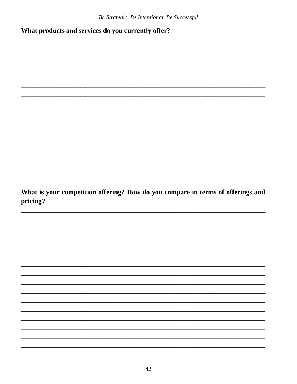What products and services do you currently offer?

What is your competition offering? How do you compare in terms of offerings and pricing?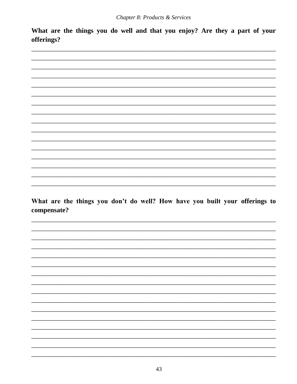What are the things you do well and that you enjoy? Are they a part of your offerings?



What are the things you don't do well? How have you built your offerings to compensate?